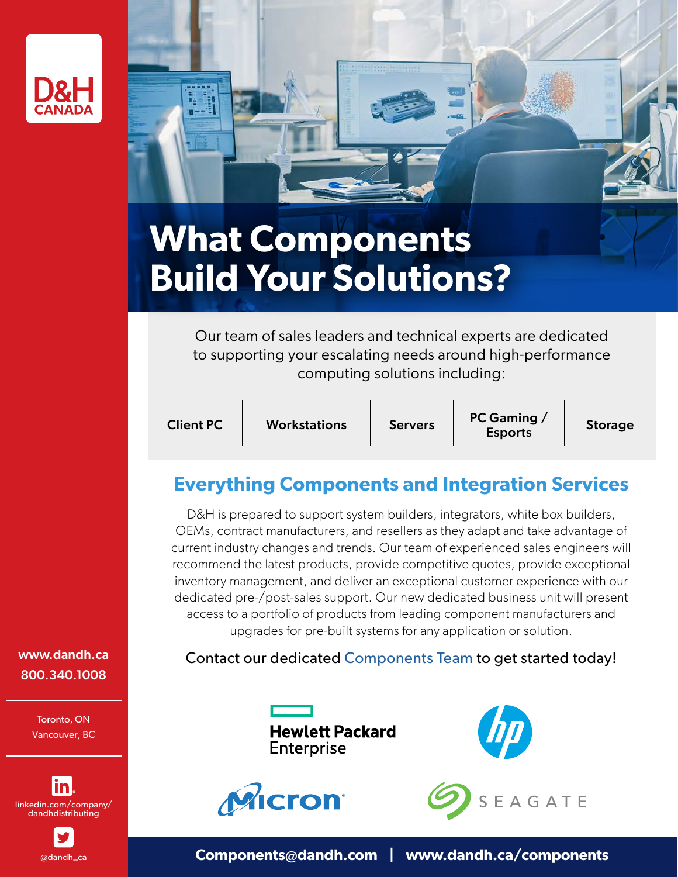



# **What Components Build Your Solutions?**

Our team of sales leaders and technical experts are dedicated to supporting your escalating needs around high-performance computing solutions including:

Client PC Workstations Servers PC Gaming /

Storage

## **Everything Components and Integration Services**

D&H is prepared to support system builders, integrators, white box builders, OEMs, contract manufacturers, and resellers as they adapt and take advantage of current industry changes and trends. Our team of experienced sales engineers will recommend the latest products, provide competitive quotes, provide exceptional inventory management, and deliver an exceptional customer experience with our dedicated pre-/post-sales support. Our new dedicated business unit will present access to a portfolio of products from leading component manufacturers and upgrades for pre-built systems for any application or solution.

### Contact our dedicated [Components Team](mailto:components%40dandh.com?subject=) to get started today!



**Enterprise** 

**Hewlett Packard** 





[www.dandh.ca](http://www.dandh.ca ) 800.340.1008

> Toronto, ON Vancouver, BC



[@dandh\\_ca](https://www.twitter.com/dandh_ca)